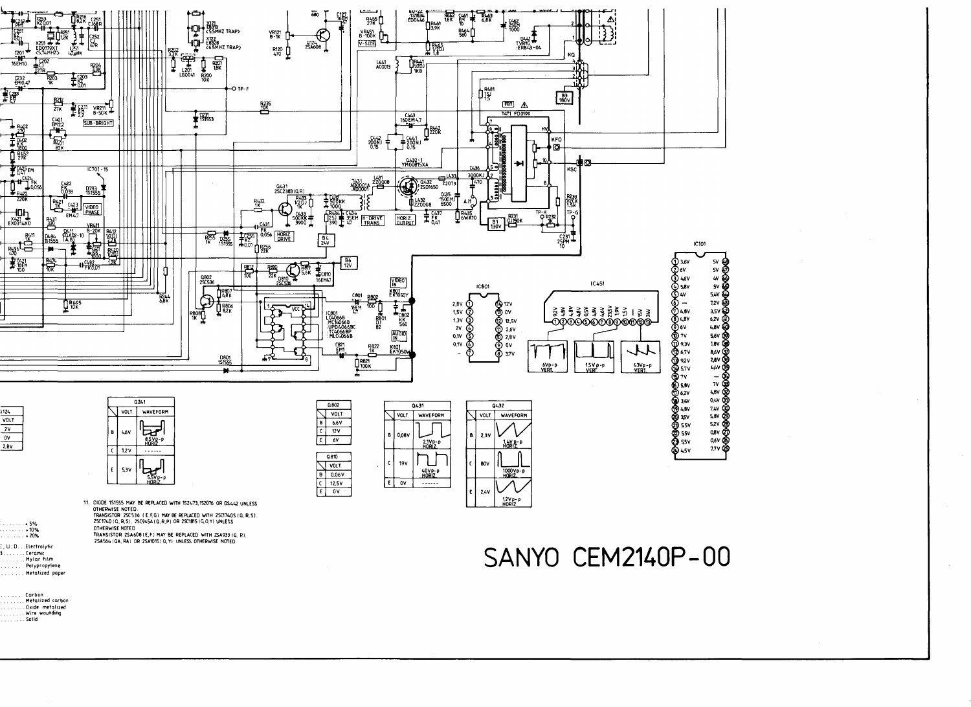

 $Q810$ 

 $\begin{array}{|c|c|c|}\n\hline\n&\text{VOLT} \\
\hline\n\end{array}$ 

C 12,5V

 $F$  ov

 $\Box$ 

40VP-P

 $\overline{\phantom{a}}$ 

80V

**24V** 

 $\frac{1000 \text{Vp}}{100012} - \text{p}$ 

1,2V p- p<br>HORIZ

10V

 $\mathsf{ov}$ 



11. DIODE 1S1555 MAY BE REPLACED WITH 1S2473,152076 OR DS442 UNLESS DIDUCT DISPOSITION OF RECENSION WITH PRESIDENCE OF NEWSLET CONTRACTOR 25C S36 (E.F.G.) MAY BE REPLACED WITH 25CT740S (Q.R.S.).<br>TRANSISTOR 25C 536 (E.F.G.) MAY BE REPLACED WITH 25CT740S (Q.R.S.).<br>25C1740 (Q.R.S.), 25C945A ( OTHERWISE NOTED

TRANSISTOR 2SA60B(E,F) MAY BE REPLACED WITH 2SA933 (Q, R), 2SA564 (QA, RA) OR 2SA1015 (Q, Y) UNLESS OTHERWISE NOTED.



Carbon Metalized carbon , Oxide: metalized<br>, Wire: wounding<br>, Solid

. Ceramic<br>, Mylar film

Polypropylene . Metalized paper

 $\cdots \cdots \cdot 5\%$ <br> $\cdots \cdots \cdot 10\%$ 

 $\frac{3}{2}$ ...

E , U , D . . . Electrolyfic

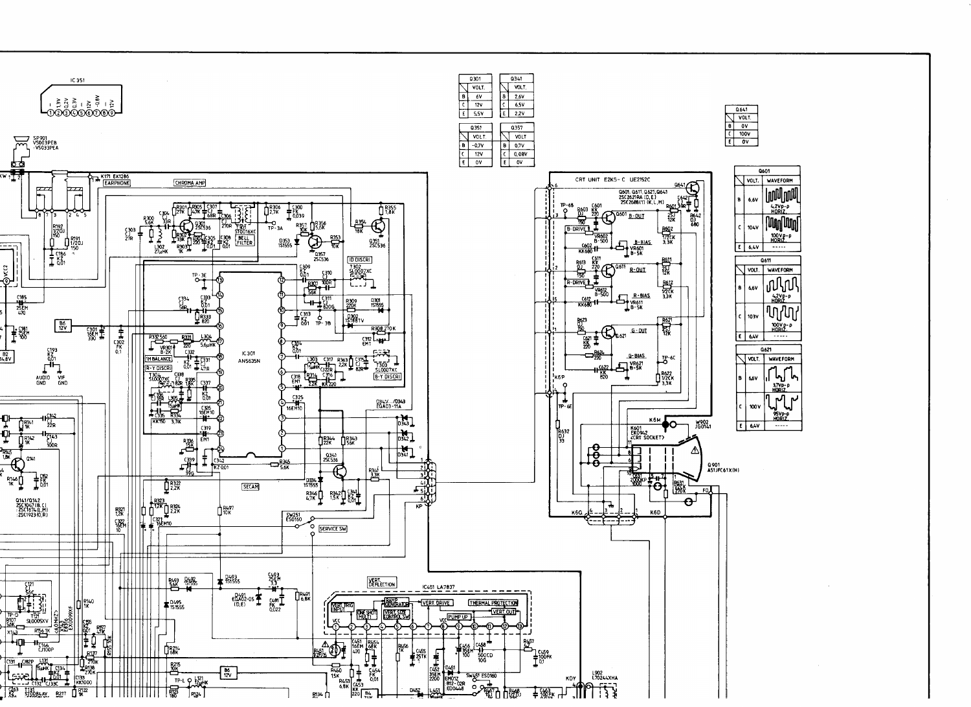



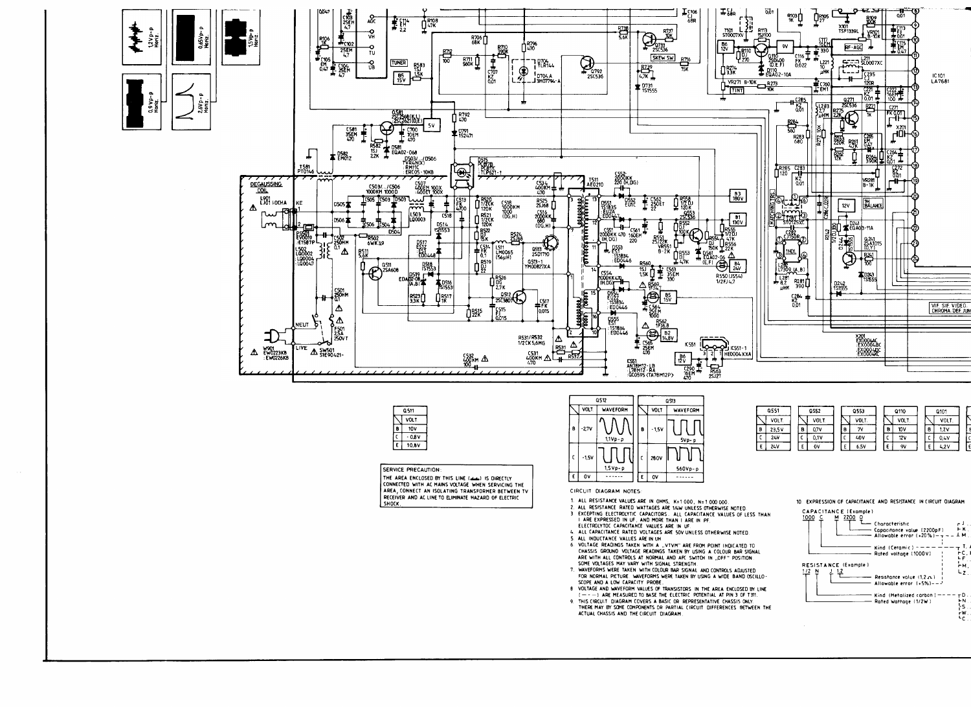



0.65Vp-<br>Horiz.

 $\frac{12}{10}$ 

 $0.9$  Vp- p

## **SERVICE PRECAUTION:**

THE AREA ENCLOSED BY THIS LINE ( 4 \* 1 IS DIRECTLY CONNECTED WITH AC MAINS VOLTAGE. WHEN SERVICING THE AREA, CONNECT AN ISOLATING TRANSFORMER BETWEEN TV RECEIVER AND AC LINE TO ELIMINATE HAZARD OF ELECTRIC SHOCK.



## CIRCUIT DIAGRAM NOTES

- 1. ALL RESISTANCE VALUES ARE IN OHMS, K=1000, N=1000 000.
- 2. ALL RESISTANCE RATED WATTAGES ARE 1AW UNLESS OTHERWISE NOTED.
- 3 EXCEPTING ELECTROLYTIC CAPACITORS. ALL CAPACITANCE VALUES OF LESS THAN<br>| ARE EXPRESSED IN UF, AND MORE THAN | ARE IN PF.<br>ELECTROLYTOC CAPACITANCE VALUES ARE IN UF.
- *U .* ALL CAPACITANCE RATEO VOLTAGES ARE 50V UNLESS OTHERWISE NOTED
- 5. ALL INDUCTANCE VALUES ARE IN UH.
- 6. VOLTAGE READINGS TAKEN WITH A "VTVM" ARE FROM POINT INDICATED TO CHASSIS GROUNO. VOLTAGE READINGS TAKEN BY USING A COLOUR BAR SIGNAL<br>ARE WITH ALL CONTROLS AT NORMAL AND AFC SWITCH IN "OFF" POSITION.<br>SOME VOLTAGES MAY VARY WITH SIGNAL STRENGTH.
- 7. WAVEFORMS WERE TAXEN WITH COLOUR BAR SIGNAL AND CONTROLS ADJUSTED FOR NORMAL PICTURE WAVEFORMS WERE TAXEN BY USING A WIDE BAND OSCILLO-SCOPE AND A LOW CAPACITY PROBE.
- 8 VOLTAGE AND WAVEFORM VALUES OF TRANSISTORS IN THE AREA ENCLOSED BY LINE<br>[ -- -) ARE MEASURED TO BASE THE ELECTRIC POTENTIAL AT PIN 3 OF T311.
- THIS CIRCUIT DIAGRAM COVERS A BASIC OR REPRESENTATIVE CHASSIS ONLY. THERE MAY BY SCHE COMPONENTS OR PARTIAL CIRCUIT DIFFERENCES BETWEEN THE ACTUAl CHASSIS ANO THE CIRCUIT OIAGRAM.

|        | 0551  |   | 0552  |  | 0553 |       |  |   | 0110  | Q101 |       |  |
|--------|-------|---|-------|--|------|-------|--|---|-------|------|-------|--|
|        | VOLT. |   | VOLT. |  |      | VOLT. |  |   | VOLT. |      | VOLT. |  |
| 8      | 23,5V | в | 0.7V  |  | ₿    | 7٧    |  | в | 10V   | в    | 1.2V  |  |
| e<br>L | 247   | ∼ | 0.1V  |  |      | 40V   |  |   | 12V   |      | 0.4V  |  |
| ¢      | 24V   |   | 0٧    |  | Е    | 6,5V  |  |   | 9٧    |      | 4,2V  |  |
|        |       |   |       |  |      |       |  |   |       |      |       |  |

10. EXPRESSION OF CAPACITANCE AND RESISTANCE IN CIRCUIT OIAGRAM

VOLT.

 $4,2V$